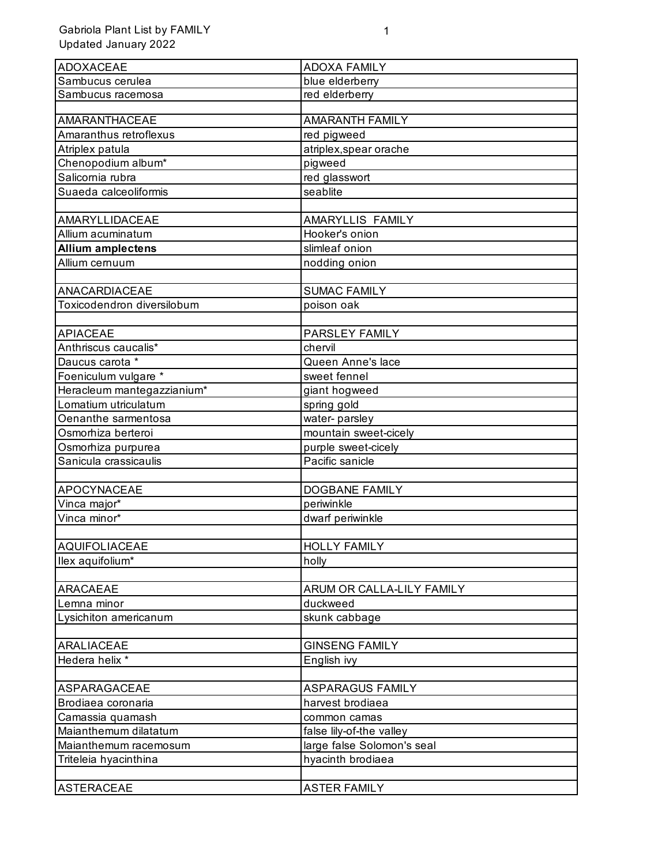| ADOXACEAE                  | <b>ADOXA FAMILY</b>        |
|----------------------------|----------------------------|
| Sambucus cerulea           | blue elderberry            |
| Sambucus racemosa          | red elderberry             |
|                            |                            |
| <b>AMARANTHACEAE</b>       | <b>AMARANTH FAMILY</b>     |
| Amaranthus retroflexus     | red pigweed                |
| Atriplex patula            | atriplex, spear orache     |
| Chenopodium album*         | pigweed                    |
| Salicornia rubra           | red glasswort              |
| Suaeda calceoliformis      | seablite                   |
| AMARYLLIDACEAE             | AMARYLLIS FAMILY           |
| Allium acuminatum          | Hooker's onion             |
| <b>Allium amplectens</b>   | slimleaf onion             |
| Allium cernuum             | nodding onion              |
|                            |                            |
| ANACARDIACEAE              | <b>SUMAC FAMILY</b>        |
| Toxicodendron diversilobum | poison oak                 |
|                            |                            |
| <b>APIACEAE</b>            | PARSLEY FAMILY             |
| Anthriscus caucalis*       | chervil                    |
| Daucus carota *            | Queen Anne's lace          |
| Foeniculum vulgare *       | sweet fennel               |
| Heracleum mantegazzianium* | giant hogweed              |
| Lomatium utriculatum       | spring gold                |
| Oenanthe sarmentosa        | water-parsley              |
| Osmorhiza berteroi         | mountain sweet-cicely      |
| Osmorhiza purpurea         | purple sweet-cicely        |
| Sanicula crassicaulis      | Pacific sanicle            |
|                            |                            |
| APOCYNACEAE                | <b>DOGBANE FAMILY</b>      |
| Vinca major*               | periwinkle                 |
| Vinca minor*               | dwarf periwinkle           |
|                            |                            |
| <b>AQUIFOLIACEAE</b>       | <b>HOLLY FAMILY</b>        |
| llex aquifolium*           | holly                      |
|                            |                            |
| <b>ARACAEAE</b>            | ARUM OR CALLA-LILY FAMILY  |
| Lemna minor                | duckweed                   |
| Lysichiton americanum      | skunk cabbage              |
|                            |                            |
| ARALIACEAE                 | <b>GINSENG FAMILY</b>      |
| Hedera helix *             | English ivy                |
|                            |                            |
| ASPARAGACEAE               | <b>ASPARAGUS FAMILY</b>    |
| Brodiaea coronaria         | harvest brodiaea           |
| Camassia quamash           | common camas               |
| Maianthemum dilatatum      | false lily-of-the valley   |
| Maianthemum racemosum      | large false Solomon's seal |
| Triteleia hyacinthina      | hyacinth brodiaea          |
| ASTERACEAE                 | <b>ASTER FAMILY</b>        |
|                            |                            |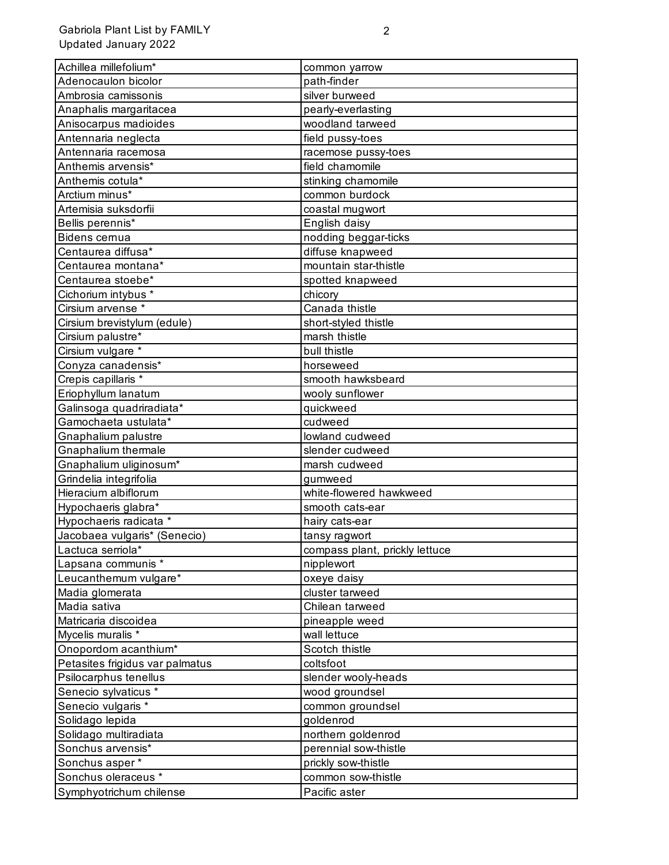| Adenocaulon bicolor<br>path-finder<br>Ambrosia camissonis<br>silver burweed<br>Anaphalis margaritacea<br>pearly-everlasting<br>Anisocarpus madioides<br>woodland tarweed<br>Antennaria neglecta<br>field pussy-toes<br>Antennaria racemosa<br>racemose pussy-toes<br>field chamomile<br>Anthemis arvensis*<br>Anthemis cotula*<br>stinking chamomile<br>Arctium minus*<br>common burdock<br>Artemisia suksdorfii<br>coastal mugwort<br>Bellis perennis*<br>English daisy<br>nodding beggar-ticks<br>Bidens cernua<br>Centaurea diffusa*<br>diffuse knapweed<br>mountain star-thistle<br>Centaurea montana*<br>Centaurea stoebe*<br>spotted knapweed<br>Cichorium intybus *<br>chicory<br>Cirsium arvense *<br>Canada thistle<br>Cirsium brevistylum (edule)<br>short-styled thistle<br>Cirsium palustre*<br>marsh thistle<br>Cirsium vulgare *<br>bull thistle<br>Conyza canadensis*<br>horseweed<br>Crepis capillaris *<br>smooth hawksbeard<br>Eriophyllum lanatum<br>wooly sunflower<br>Galinsoga quadriradiata*<br>quickweed<br>Gamochaeta ustulata*<br>cudweed<br>Gnaphalium palustre<br>lowland cudweed<br>Gnaphalium thermale<br>slender cudweed<br>Gnaphalium uliginosum*<br>marsh cudweed<br>Grindelia integrifolia<br>gumweed<br>Hieracium albiflorum<br>white-flowered hawkweed<br>Hypochaeris glabra*<br>smooth cats-ear<br>Hypochaeris radicata *<br>hairy cats-ear<br>Jacobaea vulgaris* (Senecio)<br>tansy ragwort<br>Lactuca serriola*<br>compass plant, prickly lettuce<br>nipplewort<br>oxeye daisy<br>Madia glomerata<br>cluster tarweed<br>Madia sativa<br>Chilean tarweed<br>Matricaria discoidea<br>pineapple weed<br>Mycelis muralis *<br>wall lettuce<br>Onopordom acanthium*<br>Scotch thistle<br>Petasites frigidus var palmatus<br>coltsfoot<br>Psilocarphus tenellus<br>slender wooly-heads<br>Senecio sylvaticus *<br>wood groundsel<br>Senecio vulgaris *<br>common groundsel<br>Solidago lepida<br>goldenrod<br>Solidago multiradiata<br>northern goldenrod<br>Sonchus arvensis*<br>perennial sow-thistle<br>Sonchus asper*<br>prickly sow-thistle<br>Sonchus oleraceus *<br>common sow-thistle |                         |               |
|--------------------------------------------------------------------------------------------------------------------------------------------------------------------------------------------------------------------------------------------------------------------------------------------------------------------------------------------------------------------------------------------------------------------------------------------------------------------------------------------------------------------------------------------------------------------------------------------------------------------------------------------------------------------------------------------------------------------------------------------------------------------------------------------------------------------------------------------------------------------------------------------------------------------------------------------------------------------------------------------------------------------------------------------------------------------------------------------------------------------------------------------------------------------------------------------------------------------------------------------------------------------------------------------------------------------------------------------------------------------------------------------------------------------------------------------------------------------------------------------------------------------------------------------------------------------------------------------------------------------------------------------------------------------------------------------------------------------------------------------------------------------------------------------------------------------------------------------------------------------------------------------------------------------------------------------------------------------------------------------------------------------------------------------------------------------------------------------------------------------------------|-------------------------|---------------|
|                                                                                                                                                                                                                                                                                                                                                                                                                                                                                                                                                                                                                                                                                                                                                                                                                                                                                                                                                                                                                                                                                                                                                                                                                                                                                                                                                                                                                                                                                                                                                                                                                                                                                                                                                                                                                                                                                                                                                                                                                                                                                                                                | Achillea millefolium*   | common yarrow |
|                                                                                                                                                                                                                                                                                                                                                                                                                                                                                                                                                                                                                                                                                                                                                                                                                                                                                                                                                                                                                                                                                                                                                                                                                                                                                                                                                                                                                                                                                                                                                                                                                                                                                                                                                                                                                                                                                                                                                                                                                                                                                                                                |                         |               |
|                                                                                                                                                                                                                                                                                                                                                                                                                                                                                                                                                                                                                                                                                                                                                                                                                                                                                                                                                                                                                                                                                                                                                                                                                                                                                                                                                                                                                                                                                                                                                                                                                                                                                                                                                                                                                                                                                                                                                                                                                                                                                                                                |                         |               |
|                                                                                                                                                                                                                                                                                                                                                                                                                                                                                                                                                                                                                                                                                                                                                                                                                                                                                                                                                                                                                                                                                                                                                                                                                                                                                                                                                                                                                                                                                                                                                                                                                                                                                                                                                                                                                                                                                                                                                                                                                                                                                                                                |                         |               |
|                                                                                                                                                                                                                                                                                                                                                                                                                                                                                                                                                                                                                                                                                                                                                                                                                                                                                                                                                                                                                                                                                                                                                                                                                                                                                                                                                                                                                                                                                                                                                                                                                                                                                                                                                                                                                                                                                                                                                                                                                                                                                                                                |                         |               |
|                                                                                                                                                                                                                                                                                                                                                                                                                                                                                                                                                                                                                                                                                                                                                                                                                                                                                                                                                                                                                                                                                                                                                                                                                                                                                                                                                                                                                                                                                                                                                                                                                                                                                                                                                                                                                                                                                                                                                                                                                                                                                                                                |                         |               |
|                                                                                                                                                                                                                                                                                                                                                                                                                                                                                                                                                                                                                                                                                                                                                                                                                                                                                                                                                                                                                                                                                                                                                                                                                                                                                                                                                                                                                                                                                                                                                                                                                                                                                                                                                                                                                                                                                                                                                                                                                                                                                                                                |                         |               |
|                                                                                                                                                                                                                                                                                                                                                                                                                                                                                                                                                                                                                                                                                                                                                                                                                                                                                                                                                                                                                                                                                                                                                                                                                                                                                                                                                                                                                                                                                                                                                                                                                                                                                                                                                                                                                                                                                                                                                                                                                                                                                                                                |                         |               |
|                                                                                                                                                                                                                                                                                                                                                                                                                                                                                                                                                                                                                                                                                                                                                                                                                                                                                                                                                                                                                                                                                                                                                                                                                                                                                                                                                                                                                                                                                                                                                                                                                                                                                                                                                                                                                                                                                                                                                                                                                                                                                                                                |                         |               |
|                                                                                                                                                                                                                                                                                                                                                                                                                                                                                                                                                                                                                                                                                                                                                                                                                                                                                                                                                                                                                                                                                                                                                                                                                                                                                                                                                                                                                                                                                                                                                                                                                                                                                                                                                                                                                                                                                                                                                                                                                                                                                                                                |                         |               |
|                                                                                                                                                                                                                                                                                                                                                                                                                                                                                                                                                                                                                                                                                                                                                                                                                                                                                                                                                                                                                                                                                                                                                                                                                                                                                                                                                                                                                                                                                                                                                                                                                                                                                                                                                                                                                                                                                                                                                                                                                                                                                                                                |                         |               |
|                                                                                                                                                                                                                                                                                                                                                                                                                                                                                                                                                                                                                                                                                                                                                                                                                                                                                                                                                                                                                                                                                                                                                                                                                                                                                                                                                                                                                                                                                                                                                                                                                                                                                                                                                                                                                                                                                                                                                                                                                                                                                                                                |                         |               |
|                                                                                                                                                                                                                                                                                                                                                                                                                                                                                                                                                                                                                                                                                                                                                                                                                                                                                                                                                                                                                                                                                                                                                                                                                                                                                                                                                                                                                                                                                                                                                                                                                                                                                                                                                                                                                                                                                                                                                                                                                                                                                                                                |                         |               |
|                                                                                                                                                                                                                                                                                                                                                                                                                                                                                                                                                                                                                                                                                                                                                                                                                                                                                                                                                                                                                                                                                                                                                                                                                                                                                                                                                                                                                                                                                                                                                                                                                                                                                                                                                                                                                                                                                                                                                                                                                                                                                                                                |                         |               |
|                                                                                                                                                                                                                                                                                                                                                                                                                                                                                                                                                                                                                                                                                                                                                                                                                                                                                                                                                                                                                                                                                                                                                                                                                                                                                                                                                                                                                                                                                                                                                                                                                                                                                                                                                                                                                                                                                                                                                                                                                                                                                                                                |                         |               |
|                                                                                                                                                                                                                                                                                                                                                                                                                                                                                                                                                                                                                                                                                                                                                                                                                                                                                                                                                                                                                                                                                                                                                                                                                                                                                                                                                                                                                                                                                                                                                                                                                                                                                                                                                                                                                                                                                                                                                                                                                                                                                                                                |                         |               |
|                                                                                                                                                                                                                                                                                                                                                                                                                                                                                                                                                                                                                                                                                                                                                                                                                                                                                                                                                                                                                                                                                                                                                                                                                                                                                                                                                                                                                                                                                                                                                                                                                                                                                                                                                                                                                                                                                                                                                                                                                                                                                                                                |                         |               |
|                                                                                                                                                                                                                                                                                                                                                                                                                                                                                                                                                                                                                                                                                                                                                                                                                                                                                                                                                                                                                                                                                                                                                                                                                                                                                                                                                                                                                                                                                                                                                                                                                                                                                                                                                                                                                                                                                                                                                                                                                                                                                                                                |                         |               |
|                                                                                                                                                                                                                                                                                                                                                                                                                                                                                                                                                                                                                                                                                                                                                                                                                                                                                                                                                                                                                                                                                                                                                                                                                                                                                                                                                                                                                                                                                                                                                                                                                                                                                                                                                                                                                                                                                                                                                                                                                                                                                                                                |                         |               |
|                                                                                                                                                                                                                                                                                                                                                                                                                                                                                                                                                                                                                                                                                                                                                                                                                                                                                                                                                                                                                                                                                                                                                                                                                                                                                                                                                                                                                                                                                                                                                                                                                                                                                                                                                                                                                                                                                                                                                                                                                                                                                                                                |                         |               |
|                                                                                                                                                                                                                                                                                                                                                                                                                                                                                                                                                                                                                                                                                                                                                                                                                                                                                                                                                                                                                                                                                                                                                                                                                                                                                                                                                                                                                                                                                                                                                                                                                                                                                                                                                                                                                                                                                                                                                                                                                                                                                                                                |                         |               |
|                                                                                                                                                                                                                                                                                                                                                                                                                                                                                                                                                                                                                                                                                                                                                                                                                                                                                                                                                                                                                                                                                                                                                                                                                                                                                                                                                                                                                                                                                                                                                                                                                                                                                                                                                                                                                                                                                                                                                                                                                                                                                                                                |                         |               |
|                                                                                                                                                                                                                                                                                                                                                                                                                                                                                                                                                                                                                                                                                                                                                                                                                                                                                                                                                                                                                                                                                                                                                                                                                                                                                                                                                                                                                                                                                                                                                                                                                                                                                                                                                                                                                                                                                                                                                                                                                                                                                                                                |                         |               |
|                                                                                                                                                                                                                                                                                                                                                                                                                                                                                                                                                                                                                                                                                                                                                                                                                                                                                                                                                                                                                                                                                                                                                                                                                                                                                                                                                                                                                                                                                                                                                                                                                                                                                                                                                                                                                                                                                                                                                                                                                                                                                                                                |                         |               |
|                                                                                                                                                                                                                                                                                                                                                                                                                                                                                                                                                                                                                                                                                                                                                                                                                                                                                                                                                                                                                                                                                                                                                                                                                                                                                                                                                                                                                                                                                                                                                                                                                                                                                                                                                                                                                                                                                                                                                                                                                                                                                                                                |                         |               |
|                                                                                                                                                                                                                                                                                                                                                                                                                                                                                                                                                                                                                                                                                                                                                                                                                                                                                                                                                                                                                                                                                                                                                                                                                                                                                                                                                                                                                                                                                                                                                                                                                                                                                                                                                                                                                                                                                                                                                                                                                                                                                                                                |                         |               |
|                                                                                                                                                                                                                                                                                                                                                                                                                                                                                                                                                                                                                                                                                                                                                                                                                                                                                                                                                                                                                                                                                                                                                                                                                                                                                                                                                                                                                                                                                                                                                                                                                                                                                                                                                                                                                                                                                                                                                                                                                                                                                                                                |                         |               |
|                                                                                                                                                                                                                                                                                                                                                                                                                                                                                                                                                                                                                                                                                                                                                                                                                                                                                                                                                                                                                                                                                                                                                                                                                                                                                                                                                                                                                                                                                                                                                                                                                                                                                                                                                                                                                                                                                                                                                                                                                                                                                                                                |                         |               |
|                                                                                                                                                                                                                                                                                                                                                                                                                                                                                                                                                                                                                                                                                                                                                                                                                                                                                                                                                                                                                                                                                                                                                                                                                                                                                                                                                                                                                                                                                                                                                                                                                                                                                                                                                                                                                                                                                                                                                                                                                                                                                                                                |                         |               |
|                                                                                                                                                                                                                                                                                                                                                                                                                                                                                                                                                                                                                                                                                                                                                                                                                                                                                                                                                                                                                                                                                                                                                                                                                                                                                                                                                                                                                                                                                                                                                                                                                                                                                                                                                                                                                                                                                                                                                                                                                                                                                                                                |                         |               |
|                                                                                                                                                                                                                                                                                                                                                                                                                                                                                                                                                                                                                                                                                                                                                                                                                                                                                                                                                                                                                                                                                                                                                                                                                                                                                                                                                                                                                                                                                                                                                                                                                                                                                                                                                                                                                                                                                                                                                                                                                                                                                                                                |                         |               |
|                                                                                                                                                                                                                                                                                                                                                                                                                                                                                                                                                                                                                                                                                                                                                                                                                                                                                                                                                                                                                                                                                                                                                                                                                                                                                                                                                                                                                                                                                                                                                                                                                                                                                                                                                                                                                                                                                                                                                                                                                                                                                                                                |                         |               |
|                                                                                                                                                                                                                                                                                                                                                                                                                                                                                                                                                                                                                                                                                                                                                                                                                                                                                                                                                                                                                                                                                                                                                                                                                                                                                                                                                                                                                                                                                                                                                                                                                                                                                                                                                                                                                                                                                                                                                                                                                                                                                                                                |                         |               |
|                                                                                                                                                                                                                                                                                                                                                                                                                                                                                                                                                                                                                                                                                                                                                                                                                                                                                                                                                                                                                                                                                                                                                                                                                                                                                                                                                                                                                                                                                                                                                                                                                                                                                                                                                                                                                                                                                                                                                                                                                                                                                                                                |                         |               |
|                                                                                                                                                                                                                                                                                                                                                                                                                                                                                                                                                                                                                                                                                                                                                                                                                                                                                                                                                                                                                                                                                                                                                                                                                                                                                                                                                                                                                                                                                                                                                                                                                                                                                                                                                                                                                                                                                                                                                                                                                                                                                                                                |                         |               |
|                                                                                                                                                                                                                                                                                                                                                                                                                                                                                                                                                                                                                                                                                                                                                                                                                                                                                                                                                                                                                                                                                                                                                                                                                                                                                                                                                                                                                                                                                                                                                                                                                                                                                                                                                                                                                                                                                                                                                                                                                                                                                                                                | Lapsana communis *      |               |
|                                                                                                                                                                                                                                                                                                                                                                                                                                                                                                                                                                                                                                                                                                                                                                                                                                                                                                                                                                                                                                                                                                                                                                                                                                                                                                                                                                                                                                                                                                                                                                                                                                                                                                                                                                                                                                                                                                                                                                                                                                                                                                                                | Leucanthemum vulgare*   |               |
|                                                                                                                                                                                                                                                                                                                                                                                                                                                                                                                                                                                                                                                                                                                                                                                                                                                                                                                                                                                                                                                                                                                                                                                                                                                                                                                                                                                                                                                                                                                                                                                                                                                                                                                                                                                                                                                                                                                                                                                                                                                                                                                                |                         |               |
|                                                                                                                                                                                                                                                                                                                                                                                                                                                                                                                                                                                                                                                                                                                                                                                                                                                                                                                                                                                                                                                                                                                                                                                                                                                                                                                                                                                                                                                                                                                                                                                                                                                                                                                                                                                                                                                                                                                                                                                                                                                                                                                                |                         |               |
|                                                                                                                                                                                                                                                                                                                                                                                                                                                                                                                                                                                                                                                                                                                                                                                                                                                                                                                                                                                                                                                                                                                                                                                                                                                                                                                                                                                                                                                                                                                                                                                                                                                                                                                                                                                                                                                                                                                                                                                                                                                                                                                                |                         |               |
|                                                                                                                                                                                                                                                                                                                                                                                                                                                                                                                                                                                                                                                                                                                                                                                                                                                                                                                                                                                                                                                                                                                                                                                                                                                                                                                                                                                                                                                                                                                                                                                                                                                                                                                                                                                                                                                                                                                                                                                                                                                                                                                                |                         |               |
|                                                                                                                                                                                                                                                                                                                                                                                                                                                                                                                                                                                                                                                                                                                                                                                                                                                                                                                                                                                                                                                                                                                                                                                                                                                                                                                                                                                                                                                                                                                                                                                                                                                                                                                                                                                                                                                                                                                                                                                                                                                                                                                                |                         |               |
|                                                                                                                                                                                                                                                                                                                                                                                                                                                                                                                                                                                                                                                                                                                                                                                                                                                                                                                                                                                                                                                                                                                                                                                                                                                                                                                                                                                                                                                                                                                                                                                                                                                                                                                                                                                                                                                                                                                                                                                                                                                                                                                                |                         |               |
|                                                                                                                                                                                                                                                                                                                                                                                                                                                                                                                                                                                                                                                                                                                                                                                                                                                                                                                                                                                                                                                                                                                                                                                                                                                                                                                                                                                                                                                                                                                                                                                                                                                                                                                                                                                                                                                                                                                                                                                                                                                                                                                                |                         |               |
|                                                                                                                                                                                                                                                                                                                                                                                                                                                                                                                                                                                                                                                                                                                                                                                                                                                                                                                                                                                                                                                                                                                                                                                                                                                                                                                                                                                                                                                                                                                                                                                                                                                                                                                                                                                                                                                                                                                                                                                                                                                                                                                                |                         |               |
|                                                                                                                                                                                                                                                                                                                                                                                                                                                                                                                                                                                                                                                                                                                                                                                                                                                                                                                                                                                                                                                                                                                                                                                                                                                                                                                                                                                                                                                                                                                                                                                                                                                                                                                                                                                                                                                                                                                                                                                                                                                                                                                                |                         |               |
|                                                                                                                                                                                                                                                                                                                                                                                                                                                                                                                                                                                                                                                                                                                                                                                                                                                                                                                                                                                                                                                                                                                                                                                                                                                                                                                                                                                                                                                                                                                                                                                                                                                                                                                                                                                                                                                                                                                                                                                                                                                                                                                                |                         |               |
|                                                                                                                                                                                                                                                                                                                                                                                                                                                                                                                                                                                                                                                                                                                                                                                                                                                                                                                                                                                                                                                                                                                                                                                                                                                                                                                                                                                                                                                                                                                                                                                                                                                                                                                                                                                                                                                                                                                                                                                                                                                                                                                                |                         |               |
|                                                                                                                                                                                                                                                                                                                                                                                                                                                                                                                                                                                                                                                                                                                                                                                                                                                                                                                                                                                                                                                                                                                                                                                                                                                                                                                                                                                                                                                                                                                                                                                                                                                                                                                                                                                                                                                                                                                                                                                                                                                                                                                                |                         |               |
|                                                                                                                                                                                                                                                                                                                                                                                                                                                                                                                                                                                                                                                                                                                                                                                                                                                                                                                                                                                                                                                                                                                                                                                                                                                                                                                                                                                                                                                                                                                                                                                                                                                                                                                                                                                                                                                                                                                                                                                                                                                                                                                                |                         |               |
|                                                                                                                                                                                                                                                                                                                                                                                                                                                                                                                                                                                                                                                                                                                                                                                                                                                                                                                                                                                                                                                                                                                                                                                                                                                                                                                                                                                                                                                                                                                                                                                                                                                                                                                                                                                                                                                                                                                                                                                                                                                                                                                                |                         |               |
|                                                                                                                                                                                                                                                                                                                                                                                                                                                                                                                                                                                                                                                                                                                                                                                                                                                                                                                                                                                                                                                                                                                                                                                                                                                                                                                                                                                                                                                                                                                                                                                                                                                                                                                                                                                                                                                                                                                                                                                                                                                                                                                                | Symphyotrichum chilense | Pacific aster |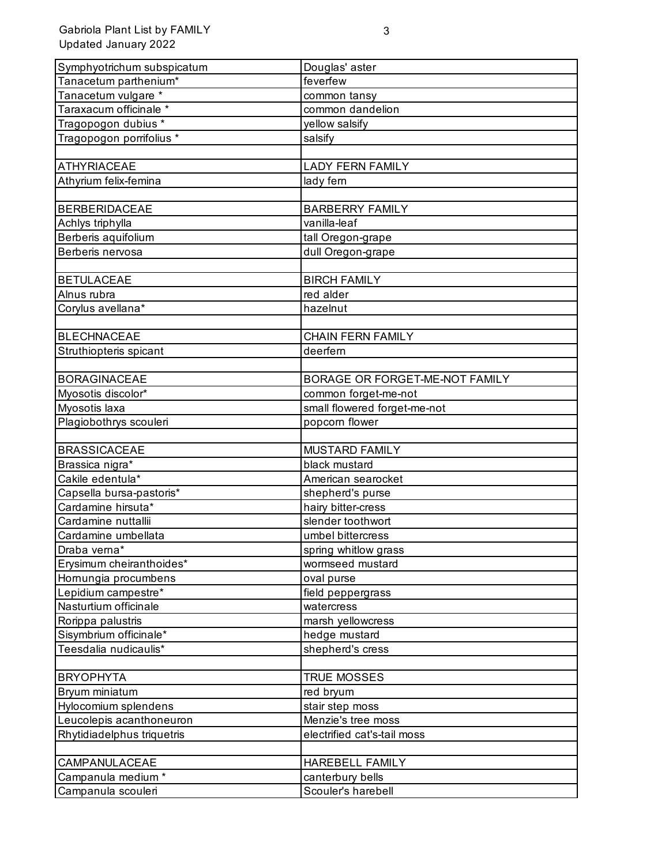Gabriola Plant List by FAMILY Updated January 2022

| Symphyotrichum subspicatum                       | Douglas' aster                         |
|--------------------------------------------------|----------------------------------------|
| Tanacetum parthenium*                            | feverfew                               |
| Tanacetum vulgare *                              | common tansy                           |
| Taraxacum officinale *                           | common dandelion                       |
| Tragopogon dubius *                              | yellow salsify                         |
| Tragopogon porrifolius *                         | salsify                                |
|                                                  |                                        |
| <b>ATHYRIACEAE</b>                               | <b>LADY FERN FAMILY</b>                |
| Athyrium felix-femina                            | lady fern                              |
|                                                  |                                        |
| <b>BERBERIDACEAE</b>                             | <b>BARBERRY FAMILY</b>                 |
| Achlys triphylla                                 | vanilla-leaf                           |
| Berberis aquifolium                              | tall Oregon-grape                      |
| Berberis nervosa                                 | dull Oregon-grape                      |
|                                                  |                                        |
| <b>BETULACEAE</b>                                | <b>BIRCH FAMILY</b>                    |
| Alnus rubra                                      | red alder                              |
| Corylus avellana*                                | hazelnut                               |
|                                                  |                                        |
| <b>BLECHNACEAE</b>                               | <b>CHAIN FERN FAMILY</b>               |
| Struthiopteris spicant                           | deerfern                               |
|                                                  |                                        |
| <b>BORAGINACEAE</b>                              | BORAGE OR FORGET-ME-NOT FAMILY         |
| Myosotis discolor*                               | common forget-me-not                   |
| Myosotis laxa                                    | small flowered forget-me-not           |
| Plagiobothrys scouleri                           | popcorn flower                         |
|                                                  |                                        |
| <b>BRASSICACEAE</b>                              | <b>MUSTARD FAMILY</b>                  |
| Brassica nigra*                                  | black mustard                          |
| Cakile edentula*                                 | American searocket                     |
| Capsella bursa-pastoris*<br>Cardamine hirsuta*   | shepherd's purse                       |
|                                                  | hairy bitter-cress                     |
| Cardamine nuttallii                              | slender toothwort<br>umbel bittercress |
| Cardamine umbellata                              |                                        |
| Draba verna*                                     | spring whitlow grass                   |
| Erysimum cheiranthoides*<br>Hornungia procumbens | wormseed mustard<br>oval purse         |
| Lepidium campestre*                              | field peppergrass                      |
| Nasturtium officinale                            | watercress                             |
| Rorippa palustris                                | marsh yellowcress                      |
| Sisymbrium officinale*                           | hedge mustard                          |
| Teesdalia nudicaulis*                            | shepherd's cress                       |
|                                                  |                                        |
| <b>BRYOPHYTA</b>                                 | <b>TRUE MOSSES</b>                     |
| Bryum miniatum                                   | red bryum                              |
| Hylocomium splendens                             | stair step moss                        |
| Leucolepis acanthoneuron                         | Menzie's tree moss                     |
| Rhytidiadelphus triquetris                       | electrified cat's-tail moss            |
|                                                  |                                        |
| CAMPANULACEAE                                    | HAREBELL FAMILY                        |
| Campanula medium *                               | canterbury bells                       |
| Campanula scouleri                               | Scouler's harebell                     |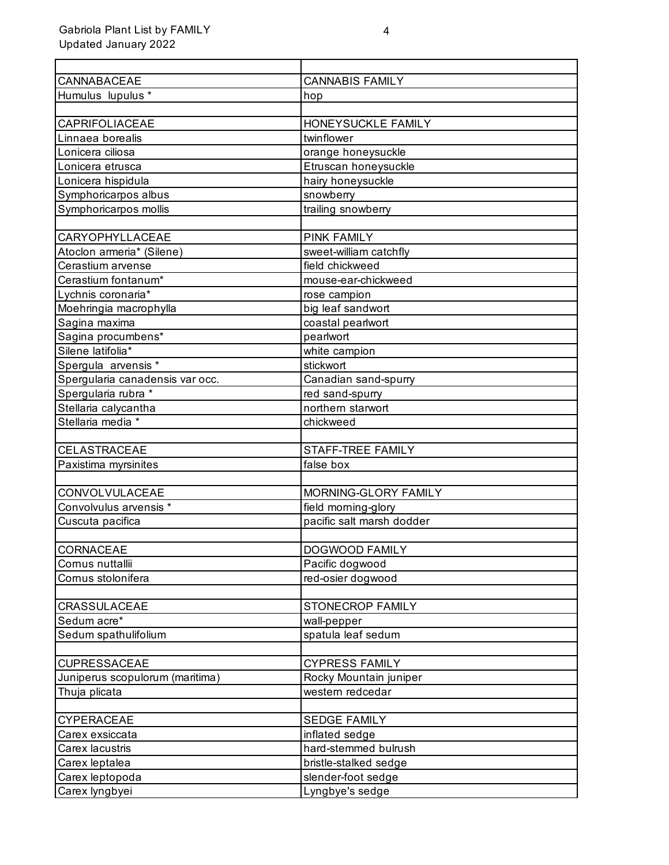| CANNABACEAE                     | <b>CANNABIS FAMILY</b>    |
|---------------------------------|---------------------------|
| Humulus lupulus *               | hop                       |
|                                 |                           |
| <b>CAPRIFOLIACEAE</b>           | HONEYSUCKLE FAMILY        |
| Linnaea borealis                | twinflower                |
| Lonicera ciliosa                | orange honeysuckle        |
| Lonicera etrusca                | Etruscan honeysuckle      |
| Lonicera hispidula              | hairy honeysuckle         |
| Symphoricarpos albus            | snowberry                 |
| Symphoricarpos mollis           | trailing snowberry        |
|                                 |                           |
| CARYOPHYLLACEAE                 | <b>PINK FAMILY</b>        |
| Atoclon armeria* (Silene)       | sweet-william catchfly    |
| Cerastium arvense               | field chickweed           |
| Cerastium fontanum*             | mouse-ear-chickweed       |
| Lychnis coronaria*              | rose campion              |
| Moehringia macrophylla          | big leaf sandwort         |
| Sagina maxima                   | coastal pearlwort         |
| Sagina procumbens*              | pearlwort                 |
| Silene latifolia*               | white campion             |
| Spergula arvensis *             | stickwort                 |
| Spergularia canadensis var occ. | Canadian sand-spurry      |
| Spergularia rubra *             | red sand-spurry           |
| Stellaria calycantha            | northern starwort         |
| Stellaria media *               | chickweed                 |
|                                 |                           |
| CELASTRACEAE                    | STAFF-TREE FAMILY         |
| Paxistima myrsinites            | false box                 |
|                                 |                           |
| CONVOLVULACEAE                  | MORNING-GLORY FAMILY      |
| Convolvulus arvensis *          | field morning-glory       |
| Cuscuta pacifica                | pacific salt marsh dodder |
|                                 |                           |
| <b>CORNACEAE</b>                | DOGWOOD FAMILY            |
| Cornus nuttallii                | Pacific dogwood           |
| Cornus stolonifera              | red-osier dogwood         |
|                                 |                           |
| CRASSULACEAE                    | STONECROP FAMILY          |
| Sedum acre*                     | wall-pepper               |
| Sedum spathulifolium            | spatula leaf sedum        |
|                                 |                           |
| <b>CUPRESSACEAE</b>             | <b>CYPRESS FAMILY</b>     |
| Juniperus scopulorum (maritima) | Rocky Mountain juniper    |
| Thuja plicata                   | western redcedar          |
|                                 |                           |
| <b>CYPERACEAE</b>               | <b>SEDGE FAMILY</b>       |
| Carex exsiccata                 | inflated sedge            |
| Carex lacustris                 | hard-stemmed bulrush      |
| Carex leptalea                  | bristle-stalked sedge     |
| Carex leptopoda                 | slender-foot sedge        |
| Carex lyngbyei                  | Lyngbye's sedge           |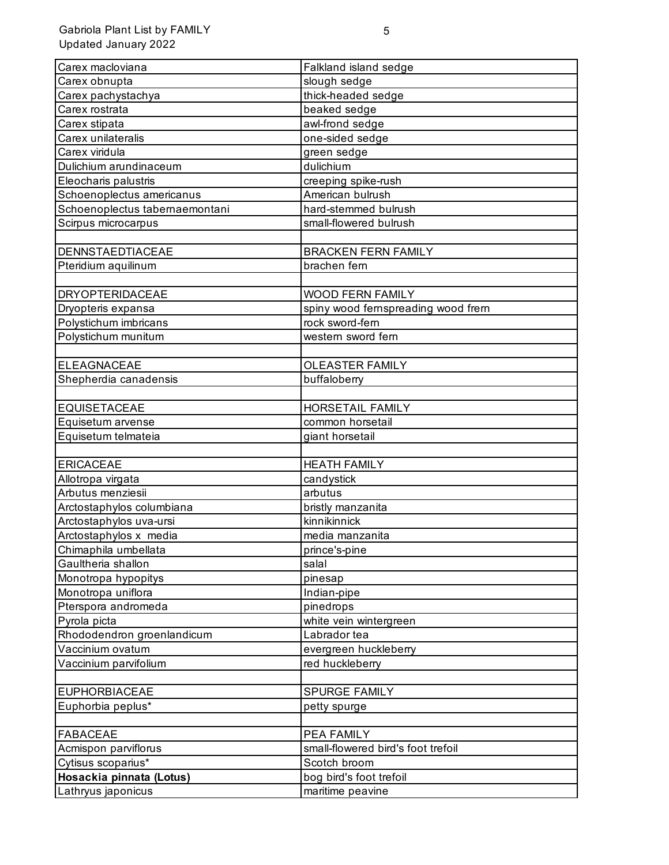| Carex macloviana               | Falkland island sedge              |
|--------------------------------|------------------------------------|
| Carex obnupta                  | slough sedge                       |
| Carex pachystachya             | thick-headed sedge                 |
| Carex rostrata                 | beaked sedge                       |
| Carex stipata                  | awl-frond sedge                    |
| Carex unilateralis             | one-sided sedge                    |
| Carex viridula                 | green sedge                        |
| Dulichium arundinaceum         | dulichium                          |
| Eleocharis palustris           | creeping spike-rush                |
| Schoenoplectus americanus      | American bulrush                   |
| Schoenoplectus tabernaemontani | hard-stemmed bulrush               |
| Scirpus microcarpus            | small-flowered bulrush             |
|                                |                                    |
| <b>DENNSTAEDTIACEAE</b>        | <b>BRACKEN FERN FAMILY</b>         |
| Pteridium aquilinum            | brachen fern                       |
|                                |                                    |
| <b>DRYOPTERIDACEAE</b>         | <b>WOOD FERN FAMILY</b>            |
| Dryopteris expansa             | spiny wood fernspreading wood frem |
| Polystichum imbricans          | rock sword-fern                    |
| Polystichum munitum            | western sword fern                 |
|                                |                                    |
| <b>ELEAGNACEAE</b>             | <b>OLEASTER FAMILY</b>             |
| Shepherdia canadensis          | buffaloberry                       |
| <b>EQUISETACEAE</b>            | HORSETAIL FAMILY                   |
| Equisetum arvense              | common horsetail                   |
| Equisetum telmateia            | giant horsetail                    |
|                                |                                    |
| <b>ERICACEAE</b>               | <b>HEATH FAMILY</b>                |
| Allotropa virgata              | candystick                         |
| Arbutus menziesii              | arbutus                            |
| Arctostaphylos columbiana      | bristly manzanita                  |
| Arctostaphylos uva-ursi        | kinnikinnick                       |
| Arctostaphylos x media         | media manzanita                    |
| Chimaphila umbellata           | prince's-pine                      |
| Gaultheria shallon             | salal                              |
| Monotropa hypopitys            | pinesap                            |
| Monotropa uniflora             | Indian-pipe                        |
| Pterspora andromeda            | pinedrops                          |
| Pyrola picta                   | white vein wintergreen             |
| Rhododendron groenlandicum     | Labrador tea                       |
| Vaccinium ovatum               | evergreen huckleberry              |
| Vaccinium parvifolium          | red huckleberry                    |
|                                |                                    |
| <b>EUPHORBIACEAE</b>           | SPURGE FAMILY                      |
| Euphorbia peplus*              | petty spurge                       |
|                                |                                    |
| <b>FABACEAE</b>                | <b>PEA FAMILY</b>                  |
| Acmispon parviflorus           | small-flowered bird's foot trefoil |
| Cytisus scoparius*             | Scotch broom                       |
| Hosackia pinnata (Lotus)       | bog bird's foot trefoil            |
| Lathryus japonicus             | maritime peavine                   |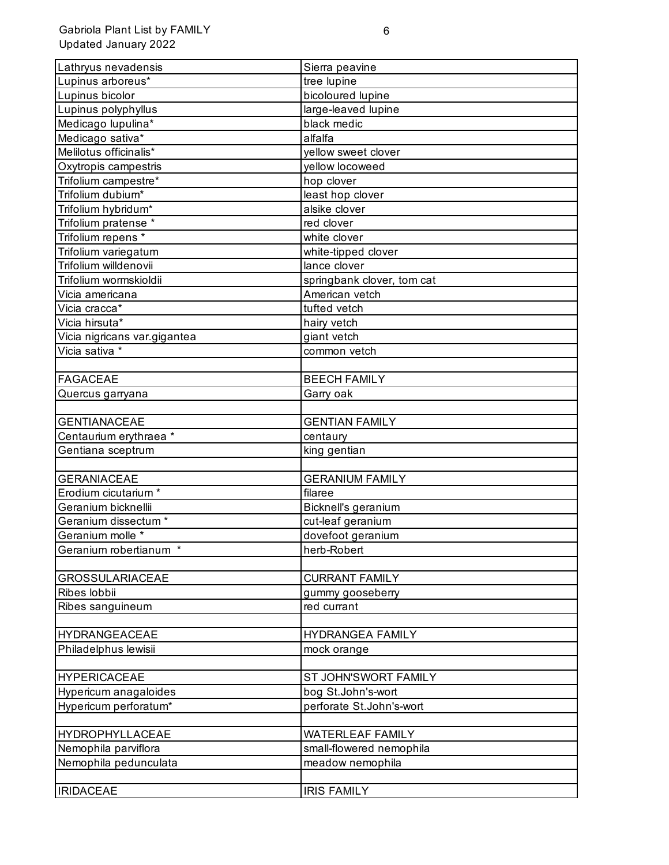| Lathryus nevadensis             |                            |
|---------------------------------|----------------------------|
| Lupinus arboreus*               | Sierra peavine             |
|                                 | tree lupine                |
| Lupinus bicolor                 | bicoloured lupine          |
| Lupinus polyphyllus             | large-leaved lupine        |
| Medicago lupulina*              | black medic                |
| Medicago sativa*                | alfalfa                    |
| Melilotus officinalis*          | yellow sweet clover        |
| Oxytropis campestris            | yellow locoweed            |
| Trifolium campestre*            | hop clover                 |
| Trifolium dubium*               | least hop clover           |
| Trifolium hybridum*             | alsike clover              |
| Trifolium pratense *            | red clover                 |
| Trifolium repens *              | white clover               |
| Trifolium variegatum            | white-tipped clover        |
| Trifolium willdenovii           | lance clover               |
| Trifolium wormskioldii          | springbank clover, tom cat |
| Vicia americana                 | American vetch             |
| Vicia cracca*                   | tufted vetch               |
| Vicia hirsuta*                  | hairy vetch                |
| Vicia nigricans var.gigantea    | giant vetch                |
| Vicia sativa *                  | common vetch               |
|                                 |                            |
| <b>FAGACEAE</b>                 | <b>BEECH FAMILY</b>        |
| Quercus garryana                | Garry oak                  |
|                                 |                            |
| <b>GENTIANACEAE</b>             | <b>GENTIAN FAMILY</b>      |
| Centaurium erythraea *          | centaury                   |
| Gentiana sceptrum               | king gentian               |
|                                 |                            |
| <b>GERANIACEAE</b>              | <b>GERANIUM FAMILY</b>     |
| Erodium cicutarium *            | filaree                    |
| Geranium bicknellii             | Bicknell's geranium        |
| Geranium dissectum *            | cut-leaf geranium          |
| Geranium molle *                | dovefoot geranium          |
| Geranium robertianum<br>$\star$ | herb-Robert                |
|                                 |                            |
| <b>GROSSULARIACEAE</b>          | <b>CURRANT FAMILY</b>      |
| Ribes lobbii                    | gummy gooseberry           |
| Ribes sanguineum                | red currant                |
|                                 |                            |
| <b>HYDRANGEACEAE</b>            | <b>HYDRANGEA FAMILY</b>    |
| Philadelphus lewisii            | mock orange                |
|                                 |                            |
| <b>HYPERICACEAE</b>             | ST JOHN'SWORT FAMILY       |
| Hypericum anagaloides           | bog St.John's-wort         |
| Hypericum perforatum*           | perforate St.John's-wort   |
|                                 |                            |
| HYDROPHYLLACEAE                 | <b>WATERLEAF FAMILY</b>    |
| Nemophila parviflora            | small-flowered nemophila   |
| Nemophila pedunculata           | meadow nemophila           |
|                                 |                            |
| <b>IRIDACEAE</b>                | <b>IRIS FAMILY</b>         |
|                                 |                            |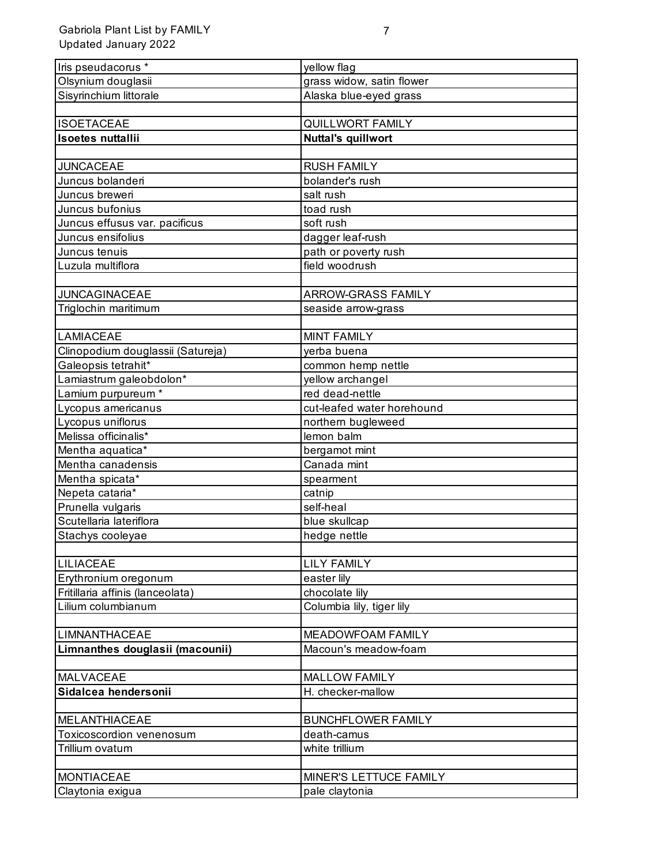| Iris pseudacorus *                | yellow flag                |
|-----------------------------------|----------------------------|
| Olsynium douglasii                | grass widow, satin flower  |
| Sisyrinchium littorale            | Alaska blue-eyed grass     |
|                                   |                            |
| <b>ISOETACEAE</b>                 | <b>QUILLWORT FAMILY</b>    |
| <b>Isoetes nuttallii</b>          | <b>Nuttal's quillwort</b>  |
|                                   |                            |
| <b>JUNCACEAE</b>                  | <b>RUSH FAMILY</b>         |
| Juncus bolanderi                  | bolander's rush            |
| Juncus breweri                    | salt rush                  |
| Juncus bufonius                   | toad rush                  |
| Juncus effusus var. pacificus     | soft rush                  |
| Juncus ensifolius                 | dagger leaf-rush           |
| Juncus tenuis                     | path or poverty rush       |
| Luzula multiflora                 | field woodrush             |
|                                   |                            |
| <b>JUNCAGINACEAE</b>              | ARROW-GRASS FAMILY         |
| Triglochin maritimum              | seaside arrow-grass        |
|                                   |                            |
| <b>LAMIACEAE</b>                  | <b>MINT FAMILY</b>         |
| Clinopodium douglassii (Satureja) | yerba buena                |
| Galeopsis tetrahit*               | common hemp nettle         |
| Lamiastrum galeobdolon*           | yellow archangel           |
| Lamium purpureum *                | red dead-nettle            |
| Lycopus americanus                | cut-leafed water horehound |
| Lycopus uniflorus                 | northern bugleweed         |
| Melissa officinalis*              | lemon balm                 |
| Mentha aquatica*                  | bergamot mint              |
| Mentha canadensis                 | Canada mint                |
| Mentha spicata*                   | spearment                  |
| Nepeta cataria*                   | catnip                     |
| Prunella vulgaris                 | self-heal                  |
| Scutellaria lateriflora           | blue skullcap              |
| Stachys cooleyae                  | hedge nettle               |
|                                   |                            |
| <b>LILIACEAE</b>                  | <b>LILY FAMILY</b>         |
| Erythronium oregonum              | easter lily                |
| Fritillaria affinis (lanceolata)  | chocolate lily             |
| Lilium columbianum                | Columbia lily, tiger lily  |
|                                   |                            |
| <b>LIMNANTHACEAE</b>              | MEADOWFOAM FAMILY          |
| Limnanthes douglasii (macounii)   | Macoun's meadow-foam       |
|                                   |                            |
| <b>MALVACEAE</b>                  | <b>MALLOW FAMILY</b>       |
| Sidalcea hendersonii              | H. checker-mallow          |
|                                   |                            |
| <b>MELANTHIACEAE</b>              | <b>BUNCHFLOWER FAMILY</b>  |
| Toxicoscordion venenosum          | death-camus                |
| Trillium ovatum                   | white trillium             |
|                                   |                            |
| <b>MONTIACEAE</b>                 | MINER'S LETTUCE FAMILY     |
| Claytonia exigua                  | pale claytonia             |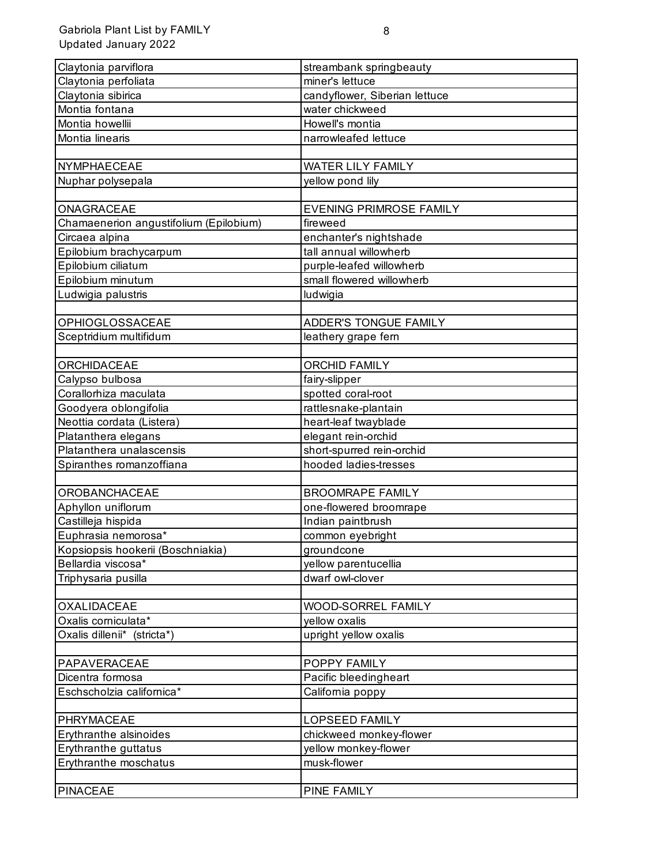| Claytonia parviflora                   | streambank springbeauty        |
|----------------------------------------|--------------------------------|
| Claytonia perfoliata                   | miner's lettuce                |
| Claytonia sibirica                     | candyflower, Siberian lettuce  |
| Montia fontana                         | water chickweed                |
| Montia howellii                        | Howell's montia                |
| Montia linearis                        | narrowleafed lettuce           |
|                                        |                                |
| NYMPHAECEAE                            | <b>WATER LILY FAMILY</b>       |
| Nuphar polysepala                      | yellow pond lily               |
|                                        |                                |
| ONAGRACEAE                             | <b>EVENING PRIMROSE FAMILY</b> |
| Chamaenerion angustifolium (Epilobium) | fireweed                       |
| Circaea alpina                         | enchanter's nightshade         |
| Epilobium brachycarpum                 | tall annual willowherb         |
| Epilobium ciliatum                     | purple-leafed willowherb       |
| Epilobium minutum                      | small flowered willowherb      |
| Ludwigia palustris                     | ludwigia                       |
|                                        |                                |
| <b>OPHIOGLOSSACEAE</b>                 | <b>ADDER'S TONGUE FAMILY</b>   |
| Sceptridium multifidum                 | leathery grape fern            |
|                                        |                                |
| <b>ORCHIDACEAE</b>                     | <b>ORCHID FAMILY</b>           |
| Calypso bulbosa                        | fairy-slipper                  |
| Corallorhiza maculata                  | spotted coral-root             |
| Goodyera oblongifolia                  | rattlesnake-plantain           |
| Neottia cordata (Listera)              | heart-leaf twayblade           |
| Platanthera elegans                    | elegant rein-orchid            |
| Platanthera unalascensis               | short-spurred rein-orchid      |
| Spiranthes romanzoffiana               | hooded ladies-tresses          |
|                                        |                                |
| OROBANCHACEAE                          | <b>BROOMRAPE FAMILY</b>        |
| Aphyllon uniflorum                     | one-flowered broomrape         |
| Castilleja hispida                     | Indian paintbrush              |
| Euphrasia nemorosa*                    | common eyebright               |
| Kopsiopsis hookerii (Boschniakia)      | groundcone                     |
| Bellardia viscosa*                     | yellow parentucellia           |
| Triphysaria pusilla                    | dwarf owl-clover               |
|                                        |                                |
| <b>OXALIDACEAE</b>                     | WOOD-SORREL FAMILY             |
| Oxalis corniculata*                    | yellow oxalis                  |
| Oxalis dillenii* (stricta*)            | upright yellow oxalis          |
|                                        |                                |
| PAPAVERACEAE                           | POPPY FAMILY                   |
| Dicentra formosa                       | Pacific bleedingheart          |
| Eschscholzia californica*              | California poppy               |
|                                        |                                |
| PHRYMACEAE                             | <b>LOPSEED FAMILY</b>          |
| Erythranthe alsinoides                 | chickweed monkey-flower        |
| Erythranthe guttatus                   | yellow monkey-flower           |
| Erythranthe moschatus                  | musk-flower                    |
|                                        |                                |
| <b>PINACEAE</b>                        | PINE FAMILY                    |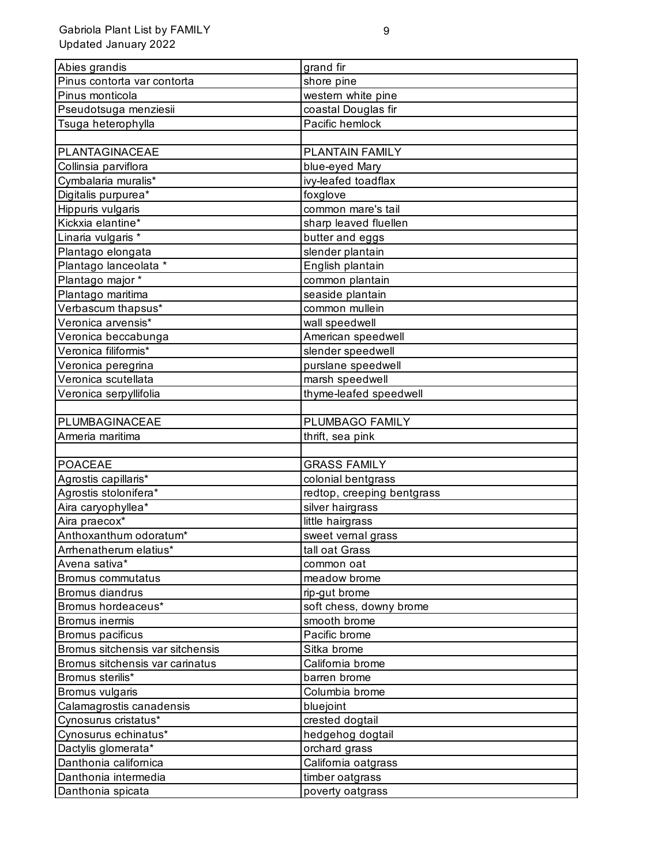| Abies grandis                             | grand fir                  |
|-------------------------------------------|----------------------------|
| Pinus contorta var contorta               | shore pine                 |
| Pinus monticola                           | western white pine         |
| Pseudotsuga menziesii                     | coastal Douglas fir        |
| Tsuga heterophylla                        | Pacific hemlock            |
|                                           |                            |
| PLANTAGINACEAE                            | PLANTAIN FAMILY            |
| Collinsia parviflora                      | blue-eyed Mary             |
| Cymbalaria muralis*                       | ivy-leafed toadflax        |
| Digitalis purpurea*                       | foxglove                   |
| Hippuris vulgaris                         | common mare's tail         |
| Kickxia elantine*                         | sharp leaved fluellen      |
| Linaria vulgaris *                        | butter and eggs            |
| Plantago elongata                         | slender plantain           |
| Plantago lanceolata *                     | English plantain           |
| Plantago major *                          | common plantain            |
| Plantago maritima                         | seaside plantain           |
| Verbascum thapsus*                        | common mullein             |
| Veronica arvensis*                        | wall speedwell             |
| Veronica beccabunga                       | American speedwell         |
| Veronica filiformis*                      | slender speedwell          |
| Veronica peregrina                        | purslane speedwell         |
| Veronica scutellata                       | marsh speedwell            |
| Veronica serpyllifolia                    | thyme-leafed speedwell     |
|                                           |                            |
| PLUMBAGINACEAE                            | PLUMBAGO FAMILY            |
| Armeria maritima                          | thrift, sea pink           |
|                                           |                            |
|                                           |                            |
| <b>POACEAE</b>                            | <b>GRASS FAMILY</b>        |
| Agrostis capillaris*                      | colonial bentgrass         |
| Agrostis stolonifera*                     | redtop, creeping bentgrass |
| Aira caryophyllea*                        | silver hairgrass           |
| Aira praecox*                             | little hairgrass           |
| Anthoxanthum odoratum*                    | sweet vernal grass         |
| Arrhenatherum elatius*                    | tall oat Grass             |
| Avena sativa*                             | common oat                 |
| Bromus commutatus                         | meadow brome               |
| Bromus diandrus                           | rip-gut brome              |
| Bromus hordeaceus*                        | soft chess, downy brome    |
| Bromus inermis                            | smooth brome               |
| Bromus pacificus                          | Pacific brome              |
| Bromus sitchensis var sitchensis          | Sitka brome                |
| Bromus sitchensis var carinatus           | California brome           |
| Bromus sterilis*                          | barren brome               |
| Bromus vulgaris                           | Columbia brome             |
| Calamagrostis canadensis                  | bluejoint                  |
| Cynosurus cristatus*                      | crested dogtail            |
| Cynosurus echinatus*                      | hedgehog dogtail           |
| Dactylis glomerata*                       | orchard grass              |
| Danthonia californica                     | California oatgrass        |
| Danthonia intermedia<br>Danthonia spicata | timber oatgrass            |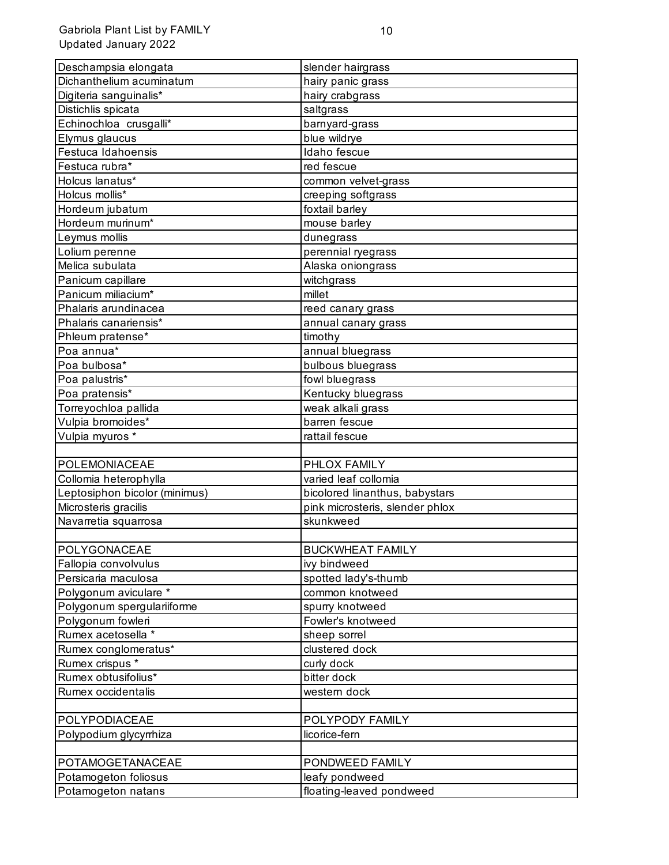| Deschampsia elongata          | slender hairgrass               |
|-------------------------------|---------------------------------|
| Dichanthelium acuminatum      | hairy panic grass               |
| Digiteria sanguinalis*        | hairy crabgrass                 |
| Distichlis spicata            | saltgrass                       |
| Echinochloa crusgalli*        | barnyard-grass                  |
| Elymus glaucus                | blue wildrye                    |
| Festuca Idahoensis            | Idaho fescue                    |
| Festuca rubra*                | red fescue                      |
| Holcus lanatus*               | common velvet-grass             |
| Holcus mollis*                | creeping softgrass              |
| Hordeum jubatum               | foxtail barley                  |
| Hordeum murinum*              | mouse barley                    |
| Leymus mollis                 | dunegrass                       |
| Lolium perenne                | perennial ryegrass              |
| Melica subulata               | Alaska oniongrass               |
| Panicum capillare             | witchgrass                      |
| Panicum miliacium*            | millet                          |
| Phalaris arundinacea          | reed canary grass               |
| Phalaris canariensis*         | annual canary grass             |
| Phleum pratense*              | timothy                         |
| Poa annua*                    | annual bluegrass                |
| Poa bulbosa*                  | bulbous bluegrass               |
| Poa palustris*                | fowl bluegrass                  |
| Poa pratensis*                | Kentucky bluegrass              |
| Torreyochloa pallida          | weak alkali grass               |
| Vulpia bromoides*             | barren fescue                   |
| Vulpia myuros *               | rattail fescue                  |
|                               |                                 |
| POLEMONIACEAE                 | PHLOX FAMILY                    |
| Collomia heterophylla         | varied leaf collomia            |
| Leptosiphon bicolor (minimus) | bicolored linanthus, babystars  |
| Microsteris gracilis          | pink microsteris, slender phlox |
| Navarretia squarrosa          | skunkweed                       |
|                               |                                 |
| POLYGONACEAE                  | <b>BUCKWHEAT FAMILY</b>         |
| Fallopia convolvulus          | ivy bindweed                    |
| Persicaria maculosa           | spotted lady's-thumb            |
| Polygonum aviculare *         | common knotweed                 |
| Polygonum spergulariiforme    | spurry knotweed                 |
| Polygonum fowleri             | Fowler's knotweed               |
| Rumex acetosella *            | sheep sorrel                    |
| Rumex conglomeratus*          | clustered dock                  |
| Rumex crispus *               | curly dock                      |
| Rumex obtusifolius*           | bitter dock                     |
| Rumex occidentalis            | western dock                    |
|                               |                                 |
| POLYPODIACEAE                 | POLYPODY FAMILY                 |
| Polypodium glycyrrhiza        | licorice-fern                   |
|                               |                                 |
| POTAMOGETANACEAE              | PONDWEED FAMILY                 |
| Potamogeton foliosus          | leafy pondweed                  |
| Potamogeton natans            | floating-leaved pondweed        |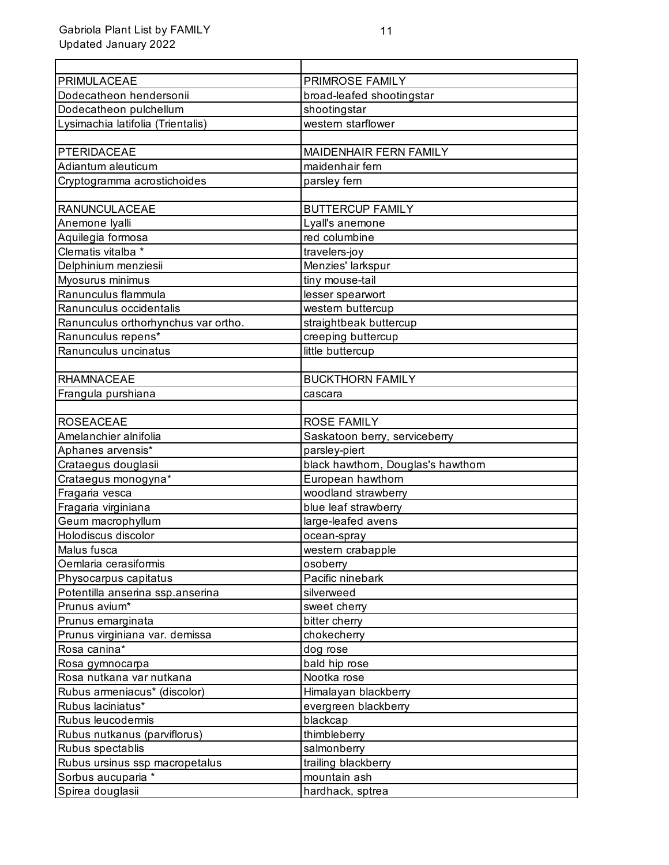| PRIMULACEAE                                          | PRIMROSE FAMILY                    |
|------------------------------------------------------|------------------------------------|
| Dodecatheon hendersonii                              | broad-leafed shootingstar          |
| Dodecatheon pulchellum                               | shootingstar                       |
| Lysimachia latifolia (Trientalis)                    | western starflower                 |
|                                                      |                                    |
| PTERIDACEAE                                          | MAIDENHAIR FERN FAMILY             |
| Adiantum aleuticum                                   | maidenhair fern                    |
| Cryptogramma acrostichoides                          | parsley fern                       |
|                                                      |                                    |
| <b>RANUNCULACEAE</b>                                 | <b>BUTTERCUP FAMILY</b>            |
| Anemone Iyalli                                       | Lyall's anemone                    |
| Aquilegia formosa                                    | red columbine                      |
| Clematis vitalba *                                   | travelers-joy                      |
| Delphinium menziesii                                 | Menzies' larkspur                  |
| Myosurus minimus                                     | tiny mouse-tail                    |
| Ranunculus flammula                                  | lesser spearwort                   |
| Ranunculus occidentalis                              | western buttercup                  |
| Ranunculus orthorhynchus var ortho.                  | straightbeak buttercup             |
| Ranunculus repens*                                   | creeping buttercup                 |
| Ranunculus uncinatus                                 | little buttercup                   |
|                                                      |                                    |
| <b>RHAMNACEAE</b>                                    | <b>BUCKTHORN FAMILY</b>            |
| Frangula purshiana                                   | cascara                            |
|                                                      |                                    |
| <b>ROSEACEAE</b>                                     | <b>ROSE FAMILY</b>                 |
| Amelanchier alnifolia                                | Saskatoon berry, serviceberry      |
| Aphanes arvensis*                                    | parsley-piert                      |
| Crataegus douglasii                                  | black hawthorn, Douglas's hawthorn |
| Crataegus monogyna*                                  | European hawthorn                  |
| Fragaria vesca                                       | woodland strawberry                |
| Fragaria virginiana                                  | blue leaf strawberry               |
| Geum macrophyllum                                    | large-leafed avens                 |
| Holodiscus discolor                                  | ocean-spray                        |
| Malus fusca                                          | western crabapple                  |
| Oemlaria cerasiformis                                | osoberry                           |
| Physocarpus capitatus                                | Pacific ninebark                   |
| Potentilla anserina ssp.anserina                     | silverweed                         |
| Prunus avium*                                        | sweet cherry                       |
| Prunus emarginata                                    | bitter cherry                      |
| Prunus virginiana var. demissa                       | chokecherry                        |
| Rosa canina*                                         | dog rose                           |
| Rosa gymnocarpa                                      | bald hip rose                      |
| Rosa nutkana var nutkana                             | Nootka rose                        |
| Rubus armeniacus* (discolor)                         | Himalayan blackberry               |
| Rubus laciniatus*                                    | evergreen blackberry               |
| Rubus leucodermis                                    | blackcap                           |
| Rubus nutkanus (parviflorus)                         | thimbleberry                       |
| Rubus spectablis                                     | salmonberry                        |
| Rubus ursinus ssp macropetalus<br>Sorbus aucuparia * | trailing blackberry                |
|                                                      | mountain ash                       |
| Spirea douglasii                                     | hardhack, sptrea                   |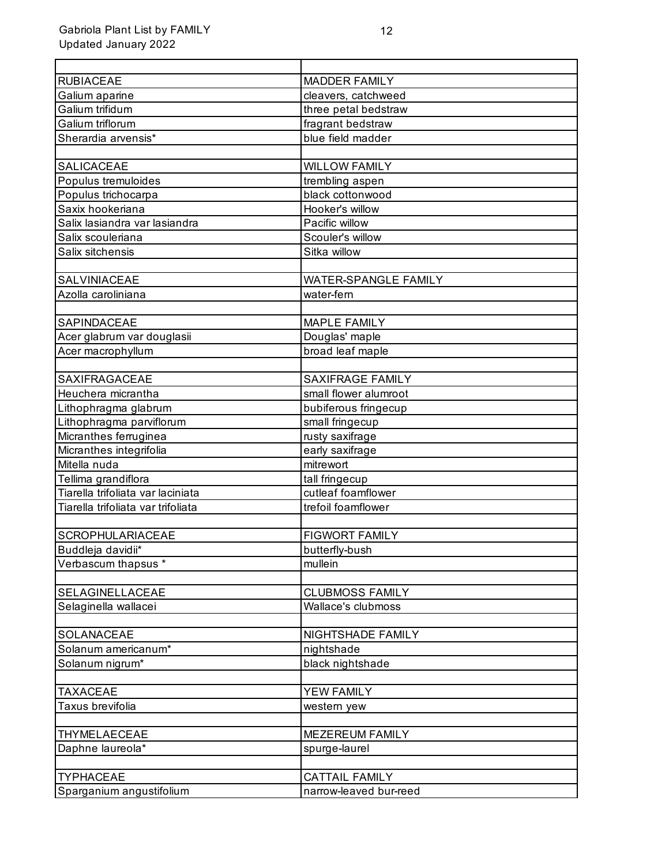| <b>RUBIACEAE</b>                   | <b>MADDER FAMILY</b>    |
|------------------------------------|-------------------------|
| Galium aparine                     | cleavers, catchweed     |
| Galium trifidum                    | three petal bedstraw    |
| Galium triflorum                   | fragrant bedstraw       |
| Sherardia arvensis*                | blue field madder       |
|                                    |                         |
| <b>SALICACEAE</b>                  | <b>WILLOW FAMILY</b>    |
| Populus tremuloides                | trembling aspen         |
| Populus trichocarpa                | black cottonwood        |
| Saxix hookeriana                   | Hooker's willow         |
| Salix lasiandra var lasiandra      | Pacific willow          |
| Salix scouleriana                  | Scouler's willow        |
| Salix sitchensis                   | Sitka willow            |
|                                    |                         |
| SALVINIACEAE                       | WATER-SPANGLE FAMILY    |
| Azolla caroliniana                 | water-fern              |
|                                    |                         |
| SAPINDACEAE                        | <b>MAPLE FAMILY</b>     |
| Acer glabrum var douglasii         | Douglas' maple          |
| Acer macrophyllum                  | broad leaf maple        |
|                                    |                         |
| <b>SAXIFRAGACEAE</b>               | <b>SAXIFRAGE FAMILY</b> |
| Heuchera micrantha                 | small flower alumroot   |
| Lithophragma glabrum               | bubiferous fringecup    |
| Lithophragma parviflorum           | small fringecup         |
| Micranthes ferruginea              | rusty saxifrage         |
| Micranthes integrifolia            | early saxifrage         |
| Mitella nuda                       | mitrewort               |
| Tellima grandiflora                | tall fringecup          |
| Tiarella trifoliata var laciniata  | cutleaf foamflower      |
| Tiarella trifoliata var trifoliata | trefoil foamflower      |
|                                    |                         |
| SCROPHULARIACEAE                   | <b>FIGWORT FAMILY</b>   |
| Buddleja davidii*                  | butterfly-bush          |
| Verbascum thapsus *                | mullein                 |
|                                    |                         |
| SELAGINELLACEAE                    | <b>CLUBMOSS FAMILY</b>  |
| Selaginella wallacei               | Wallace's clubmoss      |
|                                    |                         |
| SOLANACEAE                         | NIGHTSHADE FAMILY       |
| Solanum americanum*                | nightshade              |
| Solanum nigrum*                    | black nightshade        |
|                                    |                         |
| <b>TAXACEAE</b>                    | YEW FAMILY              |
| Taxus brevifolia                   | western yew             |
| THYMELAECEAE                       |                         |
| Daphne laureola*                   | MEZEREUM FAMILY         |
|                                    | spurge-laurel           |
| <b>TYPHACEAE</b>                   | <b>CATTAIL FAMILY</b>   |
| Sparganium angustifolium           | narrow-leaved bur-reed  |
|                                    |                         |